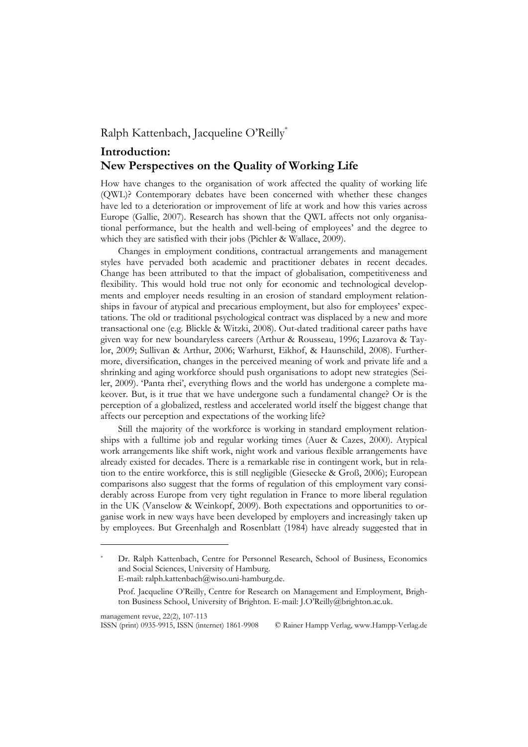## Ralph Kattenbach, Jacqueline O'Reilly\*

# **Introduction: New Perspectives on the Quality of Working Life**

How have changes to the organisation of work affected the quality of working life (QWL)? Contemporary debates have been concerned with whether these changes have led to a deterioration or improvement of life at work and how this varies across Europe (Gallie, 2007). Research has shown that the QWL affects not only organisational performance, but the health and well-being of employees' and the degree to which they are satisfied with their jobs (Pichler & Wallace, 2009).

Changes in employment conditions, contractual arrangements and management styles have pervaded both academic and practitioner debates in recent decades. Change has been attributed to that the impact of globalisation, competitiveness and flexibility. This would hold true not only for economic and technological developments and employer needs resulting in an erosion of standard employment relationships in favour of atypical and precarious employment, but also for employees' expectations. The old or traditional psychological contract was displaced by a new and more transactional one (e.g. Blickle & Witzki, 2008). Out-dated traditional career paths have given way for new boundaryless careers (Arthur & Rousseau, 1996; Lazarova & Taylor, 2009; Sullivan & Arthur, 2006; Warhurst, Eikhof, & Haunschild, 2008). Furthermore, diversification, changes in the perceived meaning of work and private life and a shrinking and aging workforce should push organisations to adopt new strategies (Seiler, 2009). 'Panta rhei', everything flows and the world has undergone a complete makeover. But, is it true that we have undergone such a fundamental change? Or is the perception of a globalized, restless and accelerated world itself the biggest change that affects our perception and expectations of the working life?

Still the majority of the workforce is working in standard employment relationships with a fulltime job and regular working times (Auer & Cazes, 2000). Atypical work arrangements like shift work, night work and various flexible arrangements have already existed for decades. There is a remarkable rise in contingent work, but in relation to the entire workforce, this is still negligible (Giesecke & Groß, 2006); European comparisons also suggest that the forms of regulation of this employment vary considerably across Europe from very tight regulation in France to more liberal regulation in the UK (Vanselow & Weinkopf, 2009). Both expectations and opportunities to organise work in new ways have been developed by employers and increasingly taken up by employees. But Greenhalgh and Rosenblatt (1984) have already suggested that in

management revue, 22(2), 107-113

 $\overline{a}$ 

Dr. Ralph Kattenbach, Centre for Personnel Research, School of Business, Economics and Social Sciences, University of Hamburg.

E-mail: ralph.kattenbach@wiso.uni-hamburg.de.

Prof. Jacqueline O'Reilly, Centre for Research on Management and Employment, Brighton Business School, University of Brighton. E-mail: J.O'Reilly@brighton.ac.uk.

ISSN (print) 0935-9915, ISSN (internet) 1861-9908 © Rainer Hampp Verlag, www.Hampp-Verlag.de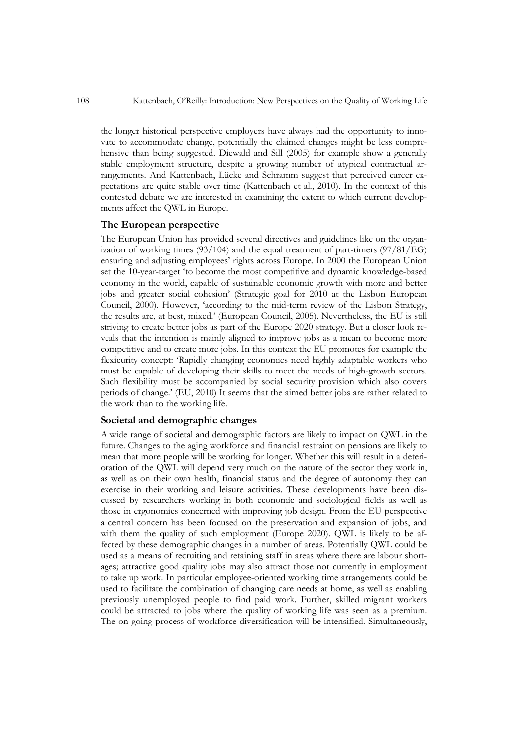the longer historical perspective employers have always had the opportunity to innovate to accommodate change, potentially the claimed changes might be less comprehensive than being suggested. Diewald and Sill (2005) for example show a generally stable employment structure, despite a growing number of atypical contractual arrangements. And Kattenbach, Lücke and Schramm suggest that perceived career expectations are quite stable over time (Kattenbach et al., 2010). In the context of this contested debate we are interested in examining the extent to which current developments affect the QWL in Europe.

## **The European perspective**

The European Union has provided several directives and guidelines like on the organization of working times  $(93/104)$  and the equal treatment of part-timers  $(97/81/EG)$ ensuring and adjusting employees' rights across Europe. In 2000 the European Union set the 10-year-target 'to become the most competitive and dynamic knowledge-based economy in the world, capable of sustainable economic growth with more and better jobs and greater social cohesion' (Strategic goal for 2010 at the Lisbon European Council, 2000). However, 'according to the mid-term review of the Lisbon Strategy, the results are, at best, mixed.' (European Council, 2005). Nevertheless, the EU is still striving to create better jobs as part of the Europe 2020 strategy. But a closer look reveals that the intention is mainly aligned to improve jobs as a mean to become more competitive and to create more jobs. In this context the EU promotes for example the flexicurity concept: 'Rapidly changing economies need highly adaptable workers who must be capable of developing their skills to meet the needs of high-growth sectors. Such flexibility must be accompanied by social security provision which also covers periods of change.' (EU, 2010) It seems that the aimed better jobs are rather related to the work than to the working life.

#### **Societal and demographic changes**

A wide range of societal and demographic factors are likely to impact on QWL in the future. Changes to the aging workforce and financial restraint on pensions are likely to mean that more people will be working for longer. Whether this will result in a deterioration of the QWL will depend very much on the nature of the sector they work in, as well as on their own health, financial status and the degree of autonomy they can exercise in their working and leisure activities. These developments have been discussed by researchers working in both economic and sociological fields as well as those in ergonomics concerned with improving job design. From the EU perspective a central concern has been focused on the preservation and expansion of jobs, and with them the quality of such employment (Europe 2020). QWL is likely to be affected by these demographic changes in a number of areas. Potentially QWL could be used as a means of recruiting and retaining staff in areas where there are labour shortages; attractive good quality jobs may also attract those not currently in employment to take up work. In particular employee-oriented working time arrangements could be used to facilitate the combination of changing care needs at home, as well as enabling previously unemployed people to find paid work. Further, skilled migrant workers could be attracted to jobs where the quality of working life was seen as a premium. The on-going process of workforce diversification will be intensified. Simultaneously,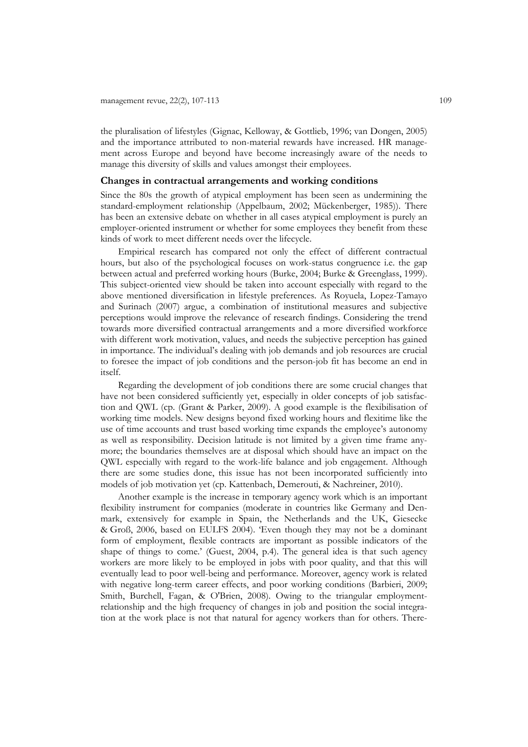the pluralisation of lifestyles (Gignac, Kelloway, & Gottlieb, 1996; van Dongen, 2005) and the importance attributed to non-material rewards have increased. HR management across Europe and beyond have become increasingly aware of the needs to manage this diversity of skills and values amongst their employees.

#### **Changes in contractual arrangements and working conditions**

Since the 80s the growth of atypical employment has been seen as undermining the standard-employment relationship (Appelbaum, 2002; Mückenberger, 1985)). There has been an extensive debate on whether in all cases atypical employment is purely an employer-oriented instrument or whether for some employees they benefit from these kinds of work to meet different needs over the lifecycle.

Empirical research has compared not only the effect of different contractual hours, but also of the psychological focuses on work-status congruence i.e. the gap between actual and preferred working hours (Burke, 2004; Burke & Greenglass, 1999). This subject-oriented view should be taken into account especially with regard to the above mentioned diversification in lifestyle preferences. As Royuela, Lopez-Tamayo and Surinach (2007) argue, a combination of institutional measures and subjective perceptions would improve the relevance of research findings. Considering the trend towards more diversified contractual arrangements and a more diversified workforce with different work motivation, values, and needs the subjective perception has gained in importance. The individual's dealing with job demands and job resources are crucial to foresee the impact of job conditions and the person-job fit has become an end in itself.

Regarding the development of job conditions there are some crucial changes that have not been considered sufficiently yet, especially in older concepts of job satisfaction and QWL (cp. (Grant & Parker, 2009). A good example is the flexibilisation of working time models. New designs beyond fixed working hours and flexitime like the use of time accounts and trust based working time expands the employee's autonomy as well as responsibility. Decision latitude is not limited by a given time frame anymore; the boundaries themselves are at disposal which should have an impact on the QWL especially with regard to the work-life balance and job engagement. Although there are some studies done, this issue has not been incorporated sufficiently into models of job motivation yet (cp. Kattenbach, Demerouti, & Nachreiner, 2010).

Another example is the increase in temporary agency work which is an important flexibility instrument for companies (moderate in countries like Germany and Denmark, extensively for example in Spain, the Netherlands and the UK, Giesecke & Groß, 2006, based on EULFS 2004). 'Even though they may not be a dominant form of employment, flexible contracts are important as possible indicators of the shape of things to come.' (Guest, 2004, p.4). The general idea is that such agency workers are more likely to be employed in jobs with poor quality, and that this will eventually lead to poor well-being and performance. Moreover, agency work is related with negative long-term career effects, and poor working conditions (Barbieri, 2009; Smith, Burchell, Fagan, & O'Brien, 2008). Owing to the triangular employmentrelationship and the high frequency of changes in job and position the social integration at the work place is not that natural for agency workers than for others. There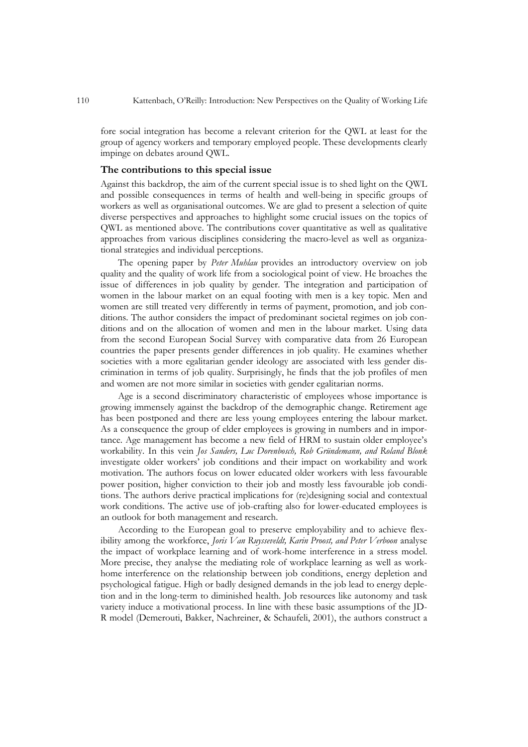fore social integration has become a relevant criterion for the QWL at least for the group of agency workers and temporary employed people. These developments clearly impinge on debates around QWL.

### **The contributions to this special issue**

Against this backdrop, the aim of the current special issue is to shed light on the QWL and possible consequences in terms of health and well-being in specific groups of workers as well as organisational outcomes. We are glad to present a selection of quite diverse perspectives and approaches to highlight some crucial issues on the topics of QWL as mentioned above. The contributions cover quantitative as well as qualitative approaches from various disciplines considering the macro-level as well as organizational strategies and individual perceptions.

The opening paper by *Peter Muhlau* provides an introductory overview on job quality and the quality of work life from a sociological point of view. He broaches the issue of differences in job quality by gender. The integration and participation of women in the labour market on an equal footing with men is a key topic. Men and women are still treated very differently in terms of payment, promotion, and job conditions. The author considers the impact of predominant societal regimes on job conditions and on the allocation of women and men in the labour market. Using data from the second European Social Survey with comparative data from 26 European countries the paper presents gender differences in job quality. He examines whether societies with a more egalitarian gender ideology are associated with less gender discrimination in terms of job quality. Surprisingly, he finds that the job profiles of men and women are not more similar in societies with gender egalitarian norms.

Age is a second discriminatory characteristic of employees whose importance is growing immensely against the backdrop of the demographic change. Retirement age has been postponed and there are less young employees entering the labour market. As a consequence the group of elder employees is growing in numbers and in importance. Age management has become a new field of HRM to sustain older employee's workability. In this vein *Jos Sanders, Luc Dorenbosch, Rob Gründemann, and Roland Blonk* investigate older workers' job conditions and their impact on workability and work motivation. The authors focus on lower educated older workers with less favourable power position, higher conviction to their job and mostly less favourable job conditions. The authors derive practical implications for (re)designing social and contextual work conditions. The active use of job-crafting also for lower-educated employees is an outlook for both management and research.

According to the European goal to preserve employability and to achieve flexibility among the workforce, *Joris Van Ruysseveldt, Karin Proost, and Peter Verboon* analyse the impact of workplace learning and of work-home interference in a stress model. More precise, they analyse the mediating role of workplace learning as well as workhome interference on the relationship between job conditions, energy depletion and psychological fatigue. High or badly designed demands in the job lead to energy depletion and in the long-term to diminished health. Job resources like autonomy and task variety induce a motivational process. In line with these basic assumptions of the JD-R model (Demerouti, Bakker, Nachreiner, & Schaufeli, 2001), the authors construct a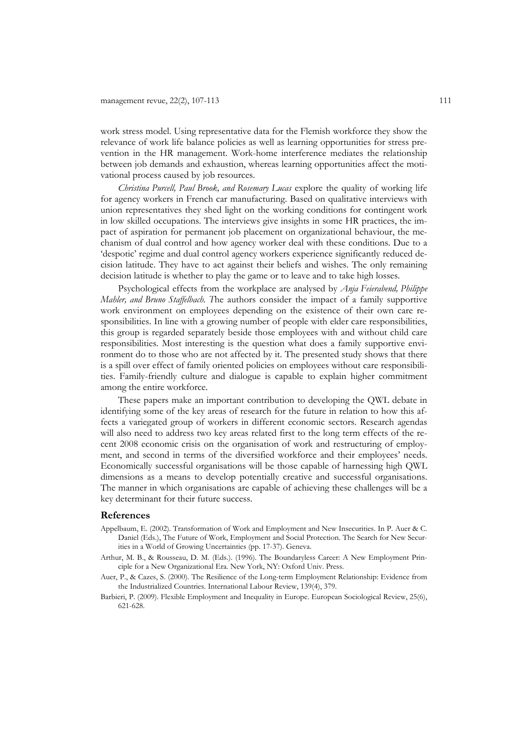work stress model. Using representative data for the Flemish workforce they show the relevance of work life balance policies as well as learning opportunities for stress prevention in the HR management. Work-home interference mediates the relationship between job demands and exhaustion, whereas learning opportunities affect the motivational process caused by job resources.

*Christina Purcell, Paul Brook, and Rosemary Lucas* explore the quality of working life for agency workers in French car manufacturing. Based on qualitative interviews with union representatives they shed light on the working conditions for contingent work in low skilled occupations. The interviews give insights in some HR practices, the impact of aspiration for permanent job placement on organizational behaviour, the mechanism of dual control and how agency worker deal with these conditions. Due to a 'despotic' regime and dual control agency workers experience significantly reduced decision latitude. They have to act against their beliefs and wishes. The only remaining decision latitude is whether to play the game or to leave and to take high losses.

Psychological effects from the workplace are analysed by *Anja Feierabend, Philippe Mahler, and Bruno Staffelbach. T*he authors consider the impact of a family supportive work environment on employees depending on the existence of their own care responsibilities. In line with a growing number of people with elder care responsibilities, this group is regarded separately beside those employees with and without child care responsibilities. Most interesting is the question what does a family supportive environment do to those who are not affected by it. The presented study shows that there is a spill over effect of family oriented policies on employees without care responsibilities. Family-friendly culture and dialogue is capable to explain higher commitment among the entire workforce.

These papers make an important contribution to developing the QWL debate in identifying some of the key areas of research for the future in relation to how this affects a variegated group of workers in different economic sectors. Research agendas will also need to address two key areas related first to the long term effects of the recent 2008 economic crisis on the organisation of work and restructuring of employment, and second in terms of the diversified workforce and their employees' needs. Economically successful organisations will be those capable of harnessing high QWL dimensions as a means to develop potentially creative and successful organisations. The manner in which organisations are capable of achieving these challenges will be a key determinant for their future success.

#### **References**

- Appelbaum, E. (2002). Transformation of Work and Employment and New Insecurities. In P. Auer & C. Daniel (Eds.), The Future of Work, Employment and Social Protection. The Search for New Securities in a World of Growing Uncertainties (pp. 17-37). Geneva.
- Arthur, M. B., & Rousseau, D. M. (Eds.). (1996). The Boundaryless Career: A New Employment Principle for a New Organizational Era. New York, NY: Oxford Univ. Press.
- Auer, P., & Cazes, S. (2000). The Resilience of the Long-term Employment Relationship: Evidence from the Industrialized Countries. International Labour Review, 139(4), 379.
- Barbieri, P. (2009). Flexible Employment and Inequality in Europe. European Sociological Review, 25(6), 621-628.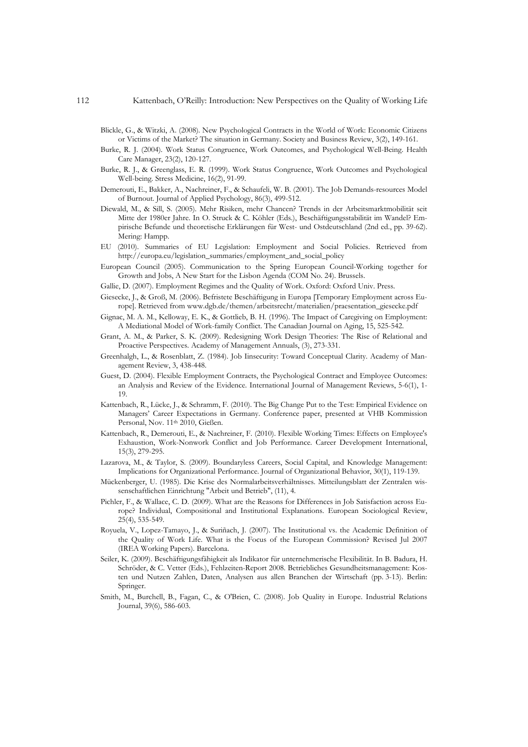- Blickle, G., & Witzki, A. (2008). New Psychological Contracts in the World of Work: Economic Citizens or Victims of the Market? The situation in Germany. Society and Business Review, 3(2), 149-161.
- Burke, R. J. (2004). Work Status Congruence, Work Outcomes, and Psychological Well-Being. Health Care Manager, 23(2), 120-127.
- Burke, R. J., & Greenglass, E. R. (1999). Work Status Congruence, Work Outcomes and Psychological Well-being. Stress Medicine, 16(2), 91-99.
- Demerouti, E., Bakker, A., Nachreiner, F., & Schaufeli, W. B. (2001). The Job Demands-resources Model of Burnout. Journal of Applied Psychology, 86(3), 499-512.
- Diewald, M., & Sill, S. (2005). Mehr Risiken, mehr Chancen? Trends in der Arbeitsmarktmobilität seit Mitte der 1980er Jahre. In O. Struck & C. Köhler (Eds.), Beschäftigungsstabilität im Wandel? Empirische Befunde und theoretische Erklärungen für West- und Ostdeutschland (2nd ed., pp. 39-62). Mering: Hampp.
- EU (2010). Summaries of EU Legislation: Employment and Social Policies. Retrieved from http://europa.eu/legislation\_summaries/employment\_and\_social\_policy
- European Council (2005). Communication to the Spring European Council-Working together for Growth and Jobs, A New Start for the Lisbon Agenda (COM No. 24). Brussels.
- Gallie, D. (2007). Employment Regimes and the Quality of Work. Oxford: Oxford Univ. Press.
- Giesecke, J., & Groß, M. (2006). Befristete Beschäftigung in Europa [Temporary Employment across Europe]. Retrieved from www.dgb.de/themen/arbeitsrecht/materialien/praesentation\_giesecke.pdf
- Gignac, M. A. M., Kelloway, E. K., & Gottlieb, B. H. (1996). The Impact of Caregiving on Employment: A Mediational Model of Work-family Conflict. The Canadian Journal on Aging, 15, 525-542.
- Grant, A. M., & Parker, S. K. (2009). Redesigning Work Design Theories: The Rise of Relational and Proactive Perspectives. Academy of Management Annuals, (3), 273-331.
- Greenhalgh, L., & Rosenblatt, Z. (1984). Job Iinsecurity: Toward Conceptual Clarity. Academy of Management Review, 3, 438-448.
- Guest, D. (2004). Flexible Employment Contracts, the Psychological Contract and Employee Outcomes: an Analysis and Review of the Evidence. International Journal of Management Reviews, 5-6(1), 1- 19.
- Kattenbach, R., Lücke, J., & Schramm, F. (2010). The Big Change Put to the Test: Empirical Evidence on Managers' Career Expectations in Germany. Conference paper, presented at VHB Kommission Personal, Nov. 11<sup>th</sup> 2010, Gießen.
- Kattenbach, R., Demerouti, E., & Nachreiner, F. (2010). Flexible Working Times: Effects on Employee's Exhaustion, Work-Nonwork Conflict and Job Performance. Career Development International, 15(3), 279-295.
- Lazarova, M., & Taylor, S. (2009). Boundaryless Careers, Social Capital, and Knowledge Management: Implications for Organizational Performance. Journal of Organizational Behavior, 30(1), 119-139.
- Mückenberger, U. (1985). Die Krise des Normalarbeitsverhältnisses. Mitteilungsblatt der Zentralen wissenschaftlichen Einrichtung "Arbeit und Betrieb", (11), 4.
- Pichler, F., & Wallace, C. D. (2009). What are the Reasons for Differences in Job Satisfaction across Europe? Individual, Compositional and Institutional Explanations. European Sociological Review, 25(4), 535-549.
- Royuela, V., Lopez-Tamayo, J., & Suriñach, J. (2007). The Institutional vs. the Academic Definition of the Quality of Work Life. What is the Focus of the European Commission? Revised Jul 2007 (IREA Working Papers). Barcelona.
- Seiler, K. (2009). Beschäftigungsfähigkeit als Indikator für unternehmerische Flexibilität. In B. Badura, H. Schröder, & C. Vetter (Eds.), Fehlzeiten-Report 2008. Betriebliches Gesundheitsmanagement: Kosten und Nutzen Zahlen, Daten, Analysen aus allen Branchen der Wirtschaft (pp. 3-13). Berlin: Springer.
- Smith, M., Burchell, B., Fagan, C., & O'Brien, C. (2008). Job Quality in Europe. Industrial Relations Journal, 39(6), 586-603.